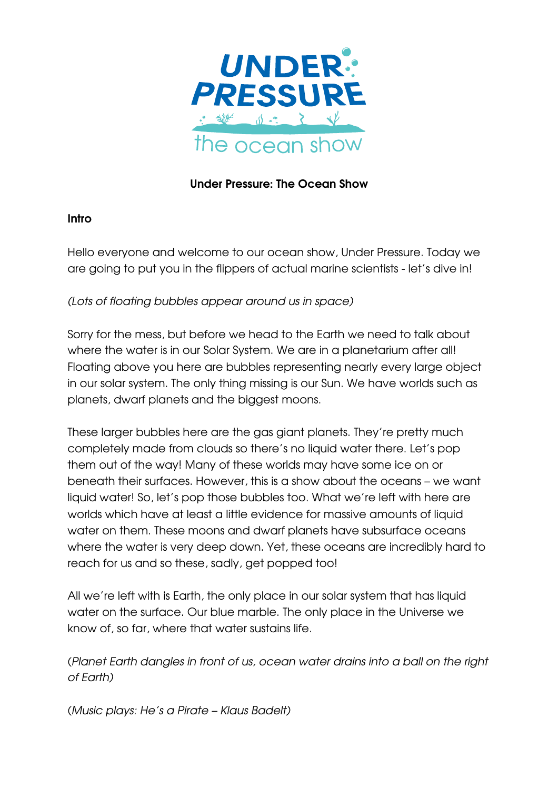

## **Under Pressure: The Ocean Show**

#### **Intro**

Hello everyone and welcome to our ocean show, Under Pressure. Today we are going to put you in the flippers of actual marine scientists - let's dive in!

*(Lots of floating bubbles appear around us in space)*

Sorry for the mess, but before we head to the Earth we need to talk about where the water is in our Solar System. We are in a planetarium after all! Floating above you here are bubbles representing nearly every large object in our solar system. The only thing missing is our Sun. We have worlds such as planets, dwarf planets and the biggest moons.

These larger bubbles here are the gas giant planets. They're pretty much completely made from clouds so there's no liquid water there. Let's pop them out of the way! Many of these worlds may have some ice on or beneath their surfaces. However, this is a show about the oceans – we want liquid water! So, let's pop those bubbles too. What we're left with here are worlds which have at least a little evidence for massive amounts of liquid water on them. These moons and dwarf planets have subsurface oceans where the water is very deep down. Yet, these oceans are incredibly hard to reach for us and so these, sadly, get popped too!

All we're left with is Earth, the only place in our solar system that has liquid water on the surface. Our blue marble. The only place in the Universe we know of, so far, where that water sustains life.

(*Planet Earth dangles in front of us, ocean water drains into a ball on the right of Earth)*

(*Music plays: He's a Pirate – Klaus Badelt)*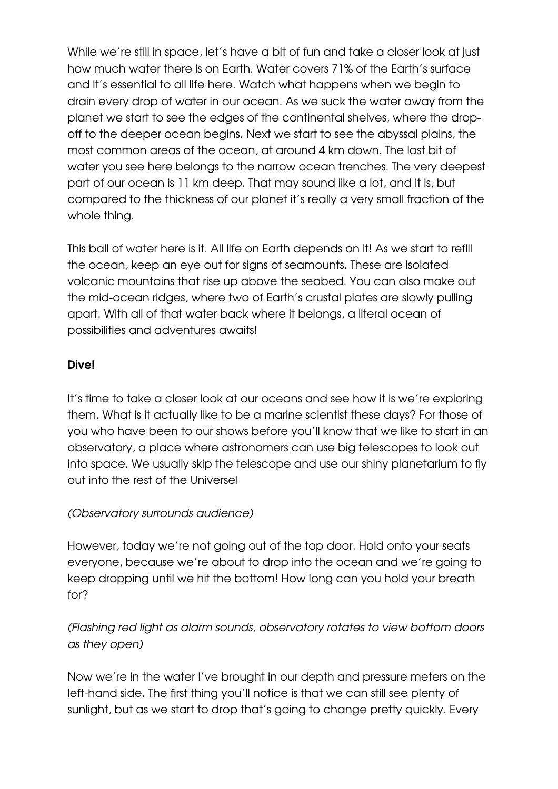While we're still in space, let's have a bit of fun and take a closer look at just how much water there is on Earth. Water covers 71% of the Earth's surface and it's essential to all life here. Watch what happens when we begin to drain every drop of water in our ocean. As we suck the water away from the planet we start to see the edges of the continental shelves, where the dropoff to the deeper ocean begins. Next we start to see the abyssal plains, the most common areas of the ocean, at around 4 km down. The last bit of water you see here belongs to the narrow ocean trenches. The very deepest part of our ocean is 11 km deep. That may sound like a lot, and it is, but compared to the thickness of our planet it's really a very small fraction of the whole thing.

This ball of water here is it. All life on Earth depends on it! As we start to refill the ocean, keep an eye out for signs of seamounts. These are isolated volcanic mountains that rise up above the seabed. You can also make out the mid-ocean ridges, where two of Earth's crustal plates are slowly pulling apart. With all of that water back where it belongs, a literal ocean of possibilities and adventures awaits!

## **Dive!**

It's time to take a closer look at our oceans and see how it is we're exploring them. What is it actually like to be a marine scientist these days? For those of you who have been to our shows before you'll know that we like to start in an observatory, a place where astronomers can use big telescopes to look out into space. We usually skip the telescope and use our shiny planetarium to fly out into the rest of the Universe!

### *(Observatory surrounds audience)*

However, today we're not going out of the top door. Hold onto your seats everyone, because we're about to drop into the ocean and we're going to keep dropping until we hit the bottom! How long can you hold your breath for?

# *(Flashing red light as alarm sounds, observatory rotates to view bottom doors as they open)*

Now we're in the water I've brought in our depth and pressure meters on the left-hand side. The first thing you'll notice is that we can still see plenty of sunlight, but as we start to drop that's going to change pretty quickly. Every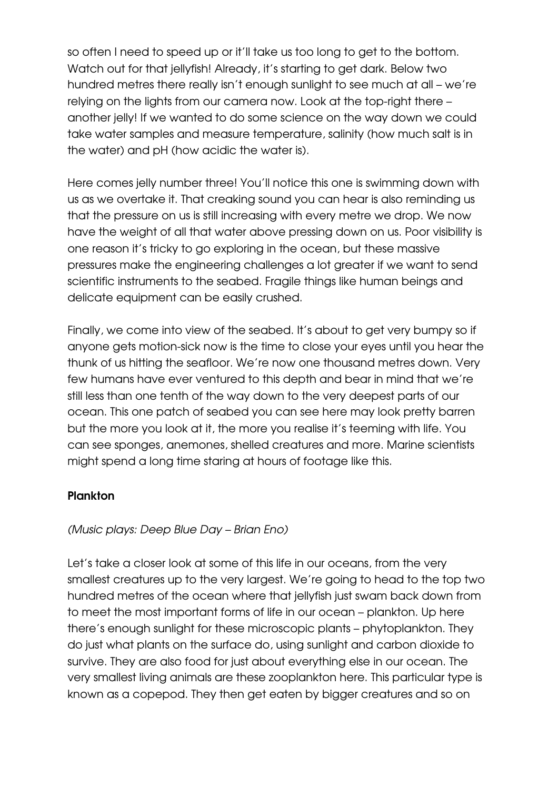so often I need to speed up or it'll take us too long to get to the bottom. Watch out for that jellyfish! Already, it's starting to get dark. Below two hundred metres there really isn't enough sunlight to see much at all – we're relying on the lights from our camera now. Look at the top-right there – another jelly! If we wanted to do some science on the way down we could take water samples and measure temperature, salinity (how much salt is in the water) and pH (how acidic the water is).

Here comes jelly number three! You'll notice this one is swimming down with us as we overtake it. That creaking sound you can hear is also reminding us that the pressure on us is still increasing with every metre we drop. We now have the weight of all that water above pressing down on us. Poor visibility is one reason it's tricky to go exploring in the ocean, but these massive pressures make the engineering challenges a lot greater if we want to send scientific instruments to the seabed. Fragile things like human beings and delicate equipment can be easily crushed.

Finally, we come into view of the seabed. It's about to get very bumpy so if anyone gets motion-sick now is the time to close your eyes until you hear the thunk of us hitting the seafloor. We're now one thousand metres down. Very few humans have ever ventured to this depth and bear in mind that we're still less than one tenth of the way down to the very deepest parts of our ocean. This one patch of seabed you can see here may look pretty barren but the more you look at it, the more you realise it's teeming with life. You can see sponges, anemones, shelled creatures and more. Marine scientists might spend a long time staring at hours of footage like this.

### **Plankton**

#### *(Music plays: Deep Blue Day – Brian Eno)*

Let's take a closer look at some of this life in our oceans, from the very smallest creatures up to the very largest. We're going to head to the top two hundred metres of the ocean where that jellyfish just swam back down from to meet the most important forms of life in our ocean – plankton. Up here there's enough sunlight for these microscopic plants – phytoplankton. They do just what plants on the surface do, using sunlight and carbon dioxide to survive. They are also food for just about everything else in our ocean. The very smallest living animals are these zooplankton here. This particular type is known as a copepod. They then get eaten by bigger creatures and so on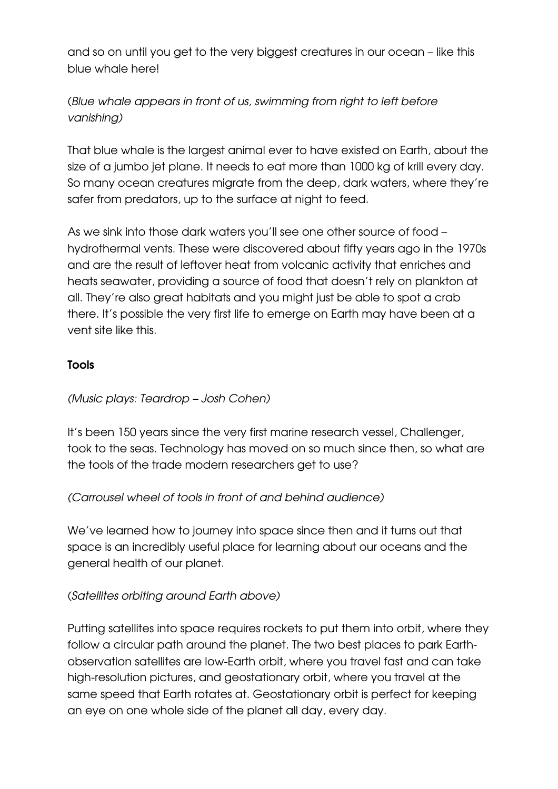and so on until you get to the very biggest creatures in our ocean – like this blue whale here!

# (*Blue whale appears in front of us, swimming from right to left before vanishing)*

That blue whale is the largest animal ever to have existed on Earth, about the size of a jumbo jet plane. It needs to eat more than 1000 kg of krill every day. So many ocean creatures migrate from the deep, dark waters, where they're safer from predators, up to the surface at night to feed.

As we sink into those dark waters you'll see one other source of food – hydrothermal vents. These were discovered about fifty years ago in the 1970s and are the result of leftover heat from volcanic activity that enriches and heats seawater, providing a source of food that doesn't rely on plankton at all. They're also great habitats and you might just be able to spot a crab there. It's possible the very first life to emerge on Earth may have been at a vent site like this.

#### **Tools**

### *(Music plays: Teardrop – Josh Cohen)*

It's been 150 years since the very first marine research vessel, Challenger, took to the seas. Technology has moved on so much since then, so what are the tools of the trade modern researchers get to use?

### *(Carrousel wheel of tools in front of and behind audience)*

We've learned how to journey into space since then and it turns out that space is an incredibly useful place for learning about our oceans and the general health of our planet.

#### (*Satellites orbiting around Earth above)*

Putting satellites into space requires rockets to put them into orbit, where they follow a circular path around the planet. The two best places to park Earthobservation satellites are low-Earth orbit, where you travel fast and can take high-resolution pictures, and geostationary orbit, where you travel at the same speed that Earth rotates at. Geostationary orbit is perfect for keeping an eye on one whole side of the planet all day, every day.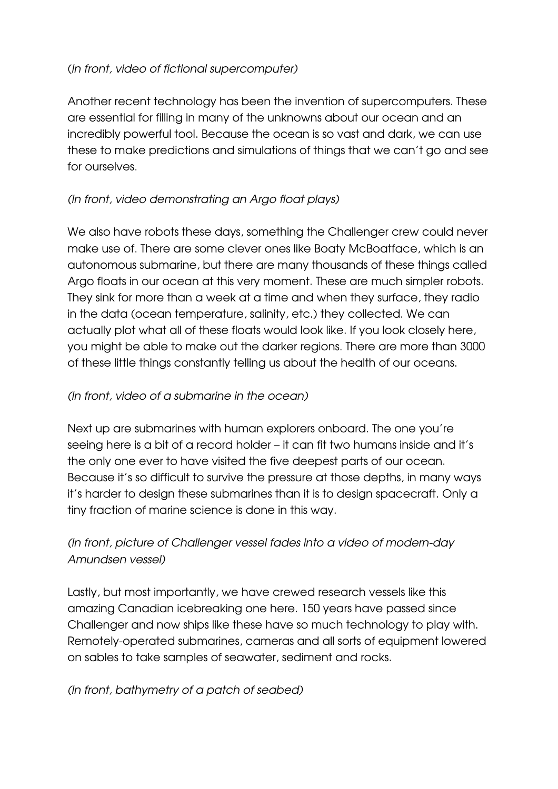## (*In front, video of fictional supercomputer)*

Another recent technology has been the invention of supercomputers. These are essential for filling in many of the unknowns about our ocean and an incredibly powerful tool. Because the ocean is so vast and dark, we can use these to make predictions and simulations of things that we can't go and see for ourselves.

## *(In front, video demonstrating an Argo float plays)*

We also have robots these days, something the Challenger crew could never make use of. There are some clever ones like Boaty McBoatface, which is an autonomous submarine, but there are many thousands of these things called Argo floats in our ocean at this very moment. These are much simpler robots. They sink for more than a week at a time and when they surface, they radio in the data (ocean temperature, salinity, etc.) they collected. We can actually plot what all of these floats would look like. If you look closely here, you might be able to make out the darker regions. There are more than 3000 of these little things constantly telling us about the health of our oceans.

### *(In front, video of a submarine in the ocean)*

Next up are submarines with human explorers onboard. The one you're seeing here is a bit of a record holder – it can fit two humans inside and it's the only one ever to have visited the five deepest parts of our ocean. Because it's so difficult to survive the pressure at those depths, in many ways it's harder to design these submarines than it is to design spacecraft. Only a tiny fraction of marine science is done in this way.

# *(In front, picture of Challenger vessel fades into a video of modern-day Amundsen vessel)*

Lastly, but most importantly, we have crewed research vessels like this amazing Canadian icebreaking one here. 150 years have passed since Challenger and now ships like these have so much technology to play with. Remotely-operated submarines, cameras and all sorts of equipment lowered on sables to take samples of seawater, sediment and rocks.

### *(In front, bathymetry of a patch of seabed)*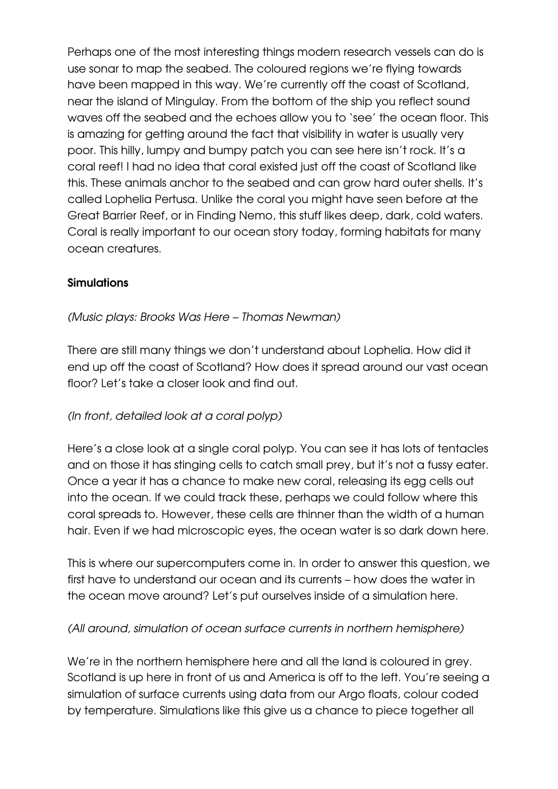Perhaps one of the most interesting things modern research vessels can do is use sonar to map the seabed. The coloured regions we're flying towards have been mapped in this way. We're currently off the coast of Scotland, near the island of Mingulay. From the bottom of the ship you reflect sound waves off the seabed and the echoes allow you to 'see' the ocean floor. This is amazing for getting around the fact that visibility in water is usually very poor. This hilly, lumpy and bumpy patch you can see here isn't rock. It's a coral reef! I had no idea that coral existed just off the coast of Scotland like this. These animals anchor to the seabed and can grow hard outer shells. It's called Lophelia Pertusa. Unlike the coral you might have seen before at the Great Barrier Reef, or in Finding Nemo, this stuff likes deep, dark, cold waters. Coral is really important to our ocean story today, forming habitats for many ocean creatures.

### **Simulations**

## *(Music plays: Brooks Was Here – Thomas Newman)*

There are still many things we don't understand about Lophelia. How did it end up off the coast of Scotland? How does it spread around our vast ocean floor? Let's take a closer look and find out.

### *(In front, detailed look at a coral polyp)*

Here's a close look at a single coral polyp. You can see it has lots of tentacles and on those it has stinging cells to catch small prey, but it's not a fussy eater. Once a year it has a chance to make new coral, releasing its egg cells out into the ocean. If we could track these, perhaps we could follow where this coral spreads to. However, these cells are thinner than the width of a human hair. Even if we had microscopic eyes, the ocean water is so dark down here.

This is where our supercomputers come in. In order to answer this question, we first have to understand our ocean and its currents – how does the water in the ocean move around? Let's put ourselves inside of a simulation here.

### *(All around, simulation of ocean surface currents in northern hemisphere)*

We're in the northern hemisphere here and all the land is coloured in grey. Scotland is up here in front of us and America is off to the left. You're seeing a simulation of surface currents using data from our Argo floats, colour coded by temperature. Simulations like this give us a chance to piece together all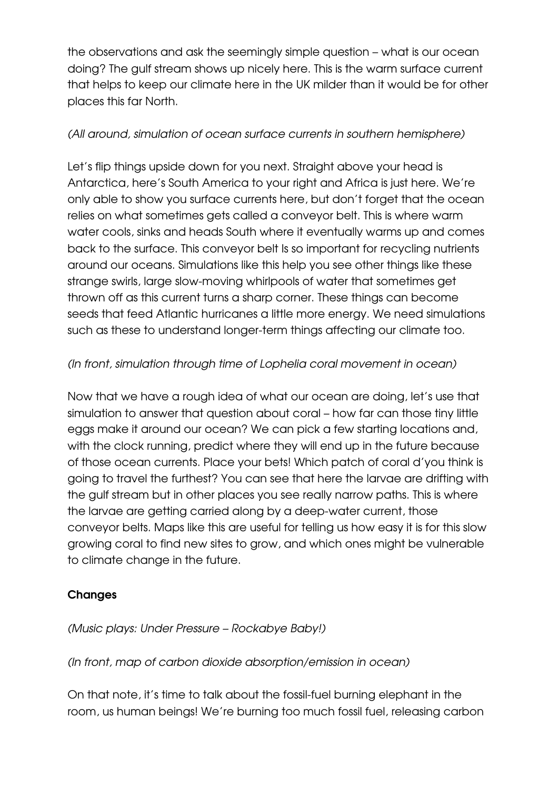the observations and ask the seemingly simple question – what is our ocean doing? The gulf stream shows up nicely here. This is the warm surface current that helps to keep our climate here in the UK milder than it would be for other places this far North.

## *(All around, simulation of ocean surface currents in southern hemisphere)*

Let's flip things upside down for you next. Straight above your head is Antarctica, here's South America to your right and Africa is just here. We're only able to show you surface currents here, but don't forget that the ocean relies on what sometimes gets called a conveyor belt. This is where warm water cools, sinks and heads South where it eventually warms up and comes back to the surface. This conveyor belt Is so important for recycling nutrients around our oceans. Simulations like this help you see other things like these strange swirls, large slow-moving whirlpools of water that sometimes get thrown off as this current turns a sharp corner. These things can become seeds that feed Atlantic hurricanes a little more energy. We need simulations such as these to understand longer-term things affecting our climate too.

# *(In front, simulation through time of Lophelia coral movement in ocean)*

Now that we have a rough idea of what our ocean are doing, let's use that simulation to answer that question about coral – how far can those tiny little eggs make it around our ocean? We can pick a few starting locations and, with the clock running, predict where they will end up in the future because of those ocean currents. Place your bets! Which patch of coral d'you think is going to travel the furthest? You can see that here the larvae are drifting with the gulf stream but in other places you see really narrow paths. This is where the larvae are getting carried along by a deep-water current, those conveyor belts. Maps like this are useful for telling us how easy it is for this slow growing coral to find new sites to grow, and which ones might be vulnerable to climate change in the future.

# **Changes**

### *(Music plays: Under Pressure – Rockabye Baby!)*

*(In front, map of carbon dioxide absorption/emission in ocean)*

On that note, it's time to talk about the fossil-fuel burning elephant in the room, us human beings! We're burning too much fossil fuel, releasing carbon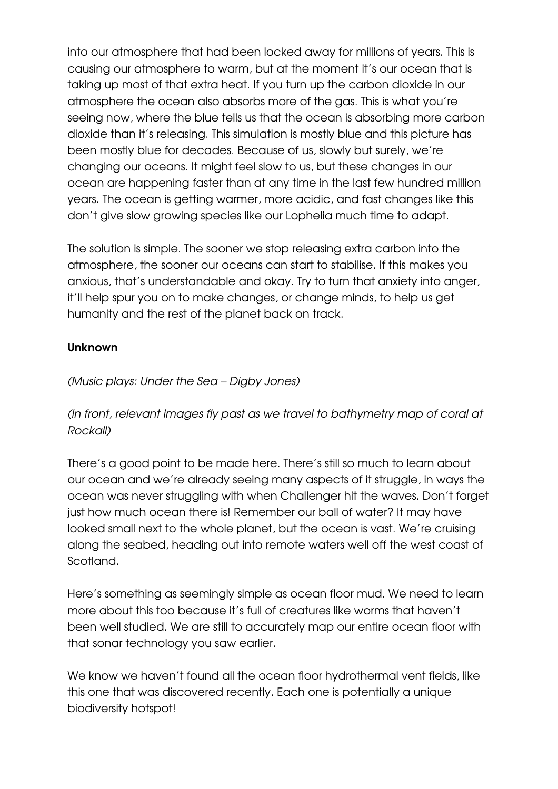into our atmosphere that had been locked away for millions of years. This is causing our atmosphere to warm, but at the moment it's our ocean that is taking up most of that extra heat. If you turn up the carbon dioxide in our atmosphere the ocean also absorbs more of the gas. This is what you're seeing now, where the blue tells us that the ocean is absorbing more carbon dioxide than it's releasing. This simulation is mostly blue and this picture has been mostly blue for decades. Because of us, slowly but surely, we're changing our oceans. It might feel slow to us, but these changes in our ocean are happening faster than at any time in the last few hundred million years. The ocean is getting warmer, more acidic, and fast changes like this don't give slow growing species like our Lophelia much time to adapt.

The solution is simple. The sooner we stop releasing extra carbon into the atmosphere, the sooner our oceans can start to stabilise. If this makes you anxious, that's understandable and okay. Try to turn that anxiety into anger, it'll help spur you on to make changes, or change minds, to help us get humanity and the rest of the planet back on track.

### **Unknown**

*(Music plays: Under the Sea – Digby Jones)*

*(In front, relevant images fly past as we travel to bathymetry map of coral at Rockall)*

There's a good point to be made here. There's still so much to learn about our ocean and we're already seeing many aspects of it struggle, in ways the ocean was never struggling with when Challenger hit the waves. Don't forget just how much ocean there is! Remember our ball of water? It may have looked small next to the whole planet, but the ocean is vast. We're cruising along the seabed, heading out into remote waters well off the west coast of Scotland.

Here's something as seemingly simple as ocean floor mud. We need to learn more about this too because it's full of creatures like worms that haven't been well studied. We are still to accurately map our entire ocean floor with that sonar technology you saw earlier.

We know we haven't found all the ocean floor hydrothermal vent fields, like this one that was discovered recently. Each one is potentially a unique biodiversity hotspot!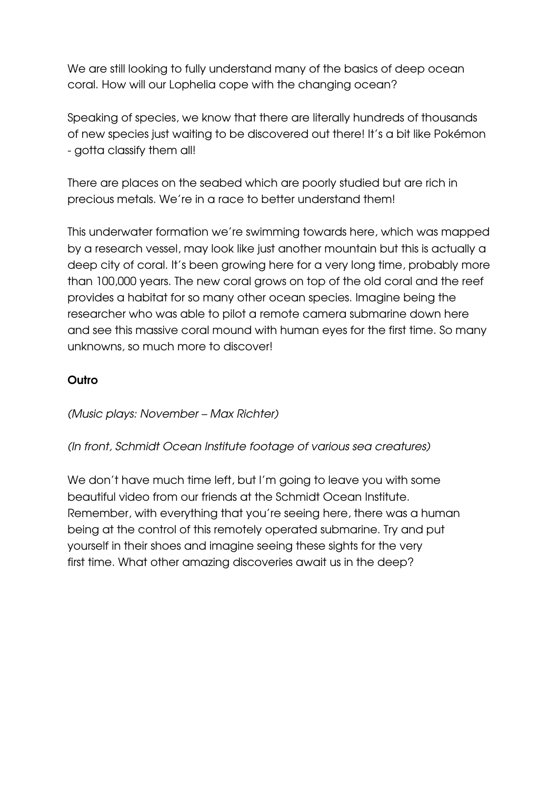We are still looking to fully understand many of the basics of deep ocean coral. How will our Lophelia cope with the changing ocean?

Speaking of species, we know that there are literally hundreds of thousands of new species just waiting to be discovered out there! It's a bit like Pokémon - gotta classify them all!

There are places on the seabed which are poorly studied but are rich in precious metals. We're in a race to better understand them!

This underwater formation we're swimming towards here, which was mapped by a research vessel, may look like just another mountain but this is actually a deep city of coral. It's been growing here for a very long time, probably more than 100,000 years. The new coral grows on top of the old coral and the reef provides a habitat for so many other ocean species. Imagine being the researcher who was able to pilot a remote camera submarine down here and see this massive coral mound with human eyes for the first time. So many unknowns, so much more to discover!

### **Outro**

### *(Music plays: November – Max Richter)*

### *(In front, Schmidt Ocean Institute footage of various sea creatures)*

We don't have much time left, but I'm going to leave you with some beautiful video from our friends at the Schmidt Ocean Institute. Remember, with everything that you're seeing here, there was a human being at the control of this remotely operated submarine. Try and put yourself in their shoes and imagine seeing these sights for the very first time. What other amazing discoveries await us in the deep?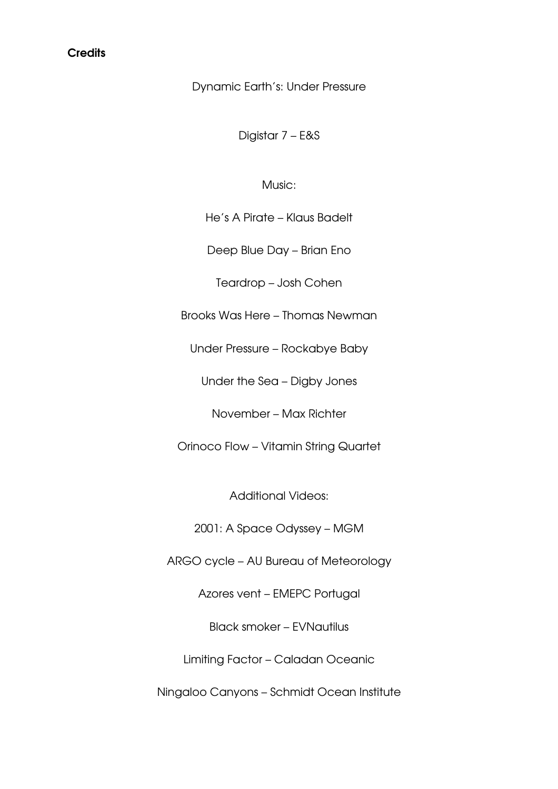#### **Credits**

#### Dynamic Earth's: Under Pressure

Digistar 7 – E&S

#### Music:

He's A Pirate – Klaus Badelt

Deep Blue Day – Brian Eno

Teardrop – Josh Cohen

Brooks Was Here – Thomas Newman

Under Pressure – Rockabye Baby

Under the Sea – Digby Jones

November – Max Richter

Orinoco Flow – Vitamin String Quartet

Additional Videos:

2001: A Space Odyssey – MGM

ARGO cycle – AU Bureau of Meteorology

Azores vent – EMEPC Portugal

Black smoker – EVNautilus

Limiting Factor – Caladan Oceanic

Ningaloo Canyons – Schmidt Ocean Institute